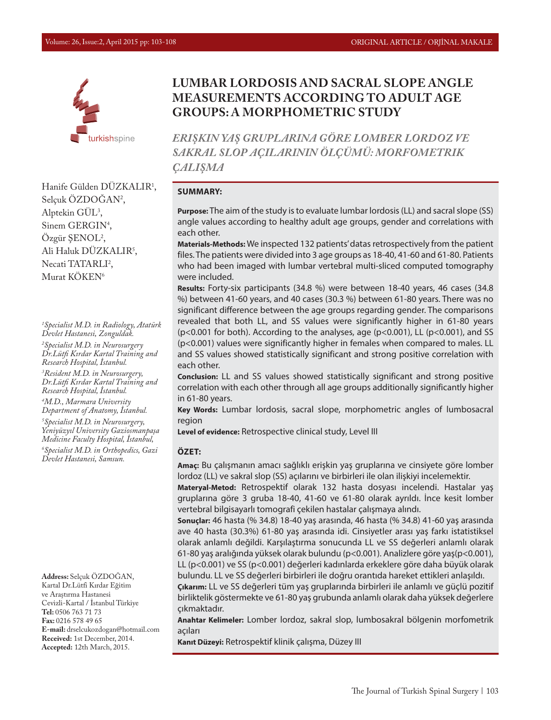

Hanife Gülden DÜZKALIR1 , Selçuk OZDOGAN<sup>2</sup>, Alptekin  $GUL<sup>3</sup>$ , Sinem GERGIN<sup>4</sup>, Özgür ŞENOL2 , Ali Haluk DUZKALIR<sup>5</sup>, Necati TATARLI<sup>2</sup>, Murat KÖKEN<sup>6</sup>

*1 Specialist M.D. in Radiology, Atatürk Devlet Hastanesi, Zonguldak.*

*2 Specialist M.D. in Neurosurgery Dr.Lütfi Kırdar Kartal Training and Research Hospital, İstanbul.* 

*3 Resident M.D. in Neurosurgery, Dr.Lütfi Kırdar Kartal Training and Research Hospital, İstanbul.*

*4 M.D., Marmara University Department of Anatomy, İstanbul. 5 Specialist M.D. in Neurosurgery, Yeniyüzyıl University Gaziosmanpaşa Medicine Faculty Hospital, İstanbul, 6 Specialist M.D. in Orthopedics, Gazi* 

*Devlet Hastanesi, Samsun.*

**Address:** Selçuk ÖZDOĞAN, Kartal Dr.Lütfi Kırdar Eğitim ve Araştırma Hastanesi Cevizli-Kartal / İstanbul Türkiye **Tel:** 0506 763 71 73 **Fax:** 0216 578 49 65 **E-mail:** drselcukozdogan@hotmail.com **Received:** 1st December, 2014. **Accepted:** 12th March, 2015.

# **LUMBAR LORDOSIS AND SACRAL SLOPE ANGLE MEASUREMENTS ACCORDING TO ADULT AGE GROUPS: A MORPHOMETRIC STUDY**

*ERIŞKIN YAŞ GRUPLARINA GÖRE LOMBER LORDOZ VE SAKRAL SLOP AÇILARININ ÖLÇÜMÜ: MORFOMETRIK ÇALIŞMA*

#### **SUMMARY:**

**Purpose:** The aim of the study is to evaluate lumbar lordosis (LL) and sacral slope (SS) angle values according to healthy adult age groups, gender and correlations with each other.

**Materials-Methods:** We inspected 132 patients' datas retrospectively from the patient files. The patients were divided into 3 age groups as 18-40, 41-60 and 61-80. Patients who had been imaged with lumbar vertebral multi-sliced computed tomography were included.

**Results:** Forty-six participants (34.8 %) were between 18-40 years, 46 cases (34.8 %) between 41-60 years, and 40 cases (30.3 %) between 61-80 years. There was no significant difference between the age groups regarding gender. The comparisons revealed that both LL, and SS values were significantly higher in 61-80 years (p<0.001 for both). According to the analyses, age (p<0.001), LL (p<0.001), and SS (p<0.001) values were significantly higher in females when compared to males. LL and SS values showed statistically significant and strong positive correlation with each other.

**Conclusion:** LL and SS values showed statistically significant and strong positive correlation with each other through all age groups additionally significantly higher in 61-80 years.

**Key Words:** Lumbar lordosis, sacral slope, morphometric angles of lumbosacral region

**Level of evidence:** Retrospective clinical study, Level III

#### **ÖZET:**

**Amaç:** Bu çalışmanın amacı sağlıklı erişkin yaş gruplarına ve cinsiyete göre lomber lordoz (LL) ve sakral slop (SS) açılarını ve birbirleri ile olan ilişkiyi incelemektir.

**Materyal-Metod:** Retrospektif olarak 132 hasta dosyası incelendi. Hastalar yaş gruplarına göre 3 gruba 18-40, 41-60 ve 61-80 olarak ayrıldı. İnce kesit lomber vertebral bilgisayarlı tomografi çekilen hastalar çalışmaya alındı.

**Sonuçlar:** 46 hasta (% 34.8) 18-40 yaş arasında, 46 hasta (% 34.8) 41-60 yaş arasında ave 40 hasta (30.3%) 61-80 yaş arasında idi. Cinsiyetler arası yaş farkı istatistiksel olarak anlamlı değildi. Karşılaştırma sonucunda LL ve SS değerleri anlamlı olarak 61-80 yaş aralığında yüksek olarak bulundu (p<0.001). Analizlere göre yaş(p<0.001), LL (p<0.001) ve SS (p<0.001) değerleri kadınlarda erkeklere göre daha büyük olarak bulundu. LL ve SS değerleri birbirleri ile doğru orantıda hareket ettikleri anlaşıldı.

**Çıkarım:** LL ve SS değerleri tüm yaş gruplarında birbirleri ile anlamlı ve güçlü pozitif birliktelik göstermekte ve 61-80 yaş grubunda anlamlı olarak daha yüksek değerlere çıkmaktadır.

**Anahtar Kelimeler:** Lomber lordoz, sakral slop, lumbosakral bölgenin morfometrik açıları

**Kanıt Düzeyi:** Retrospektif klinik çalışma, Düzey III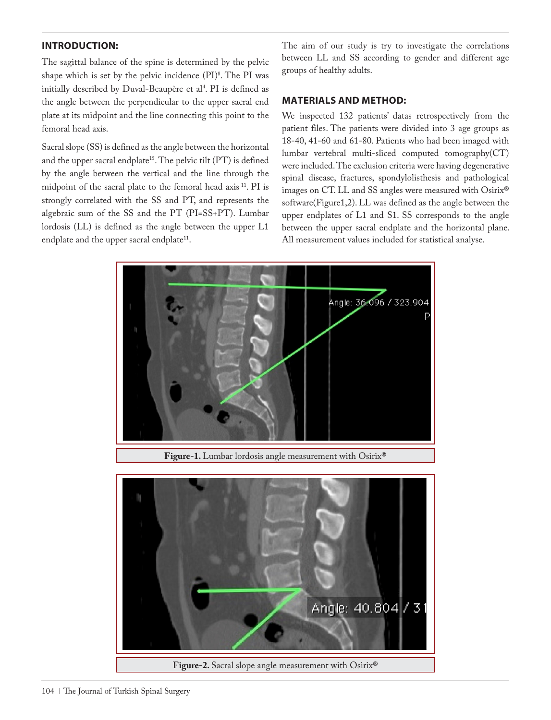# **INTRODUCTION:**

The sagittal balance of the spine is determined by the pelvic shape which is set by the pelvic incidence (PI)<sup>8</sup>. The PI was initially described by Duval-Beaupère et al<sup>4</sup>. PI is defined as the angle between the perpendicular to the upper sacral end plate at its midpoint and the line connecting this point to the femoral head axis.

Sacral slope (SS) is defined as the angle between the horizontal and the upper sacral endplate<sup>15</sup>. The pelvic tilt (PT) is defined by the angle between the vertical and the line through the midpoint of the sacral plate to the femoral head axis 11. PI is strongly correlated with the SS and PT, and represents the algebraic sum of the SS and the PT (PI=SS+PT). Lumbar lordosis (LL) is defined as the angle between the upper L1 endplate and the upper sacral endplate<sup>11</sup>.

The aim of our study is try to investigate the correlations between LL and SS according to gender and different age groups of healthy adults.

#### **MATERIALS AND METHOD:**

We inspected 132 patients' datas retrospectively from the patient files. The patients were divided into 3 age groups as 18-40, 41-60 and 61-80. Patients who had been imaged with lumbar vertebral multi-sliced computed tomography(CT) were included. The exclusion criteria were having degenerative spinal disease, fractures, spondylolisthesis and pathological images on CT. LL and SS angles were measured with Osirix**®** software(Figure1,2). LL was defined as the angle between the upper endplates of L1 and S1. SS corresponds to the angle between the upper sacral endplate and the horizontal plane. All measurement values included for statistical analyse.



**Figure-1.** Lumbar lordosis angle measurement with Osirix**®**

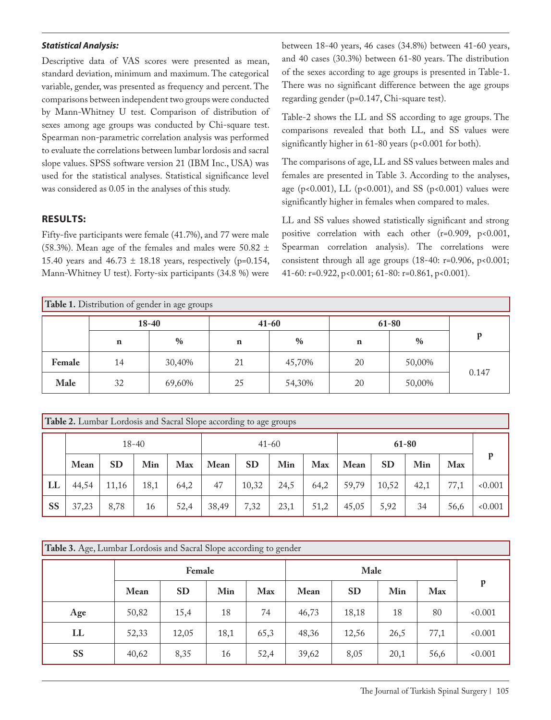#### *Statistical Analysis:*

Descriptive data of VAS scores were presented as mean, standard deviation, minimum and maximum. The categorical variable, gender, was presented as frequency and percent. The comparisons between independent two groups were conducted by Mann-Whitney U test. Comparison of distribution of sexes among age groups was conducted by Chi-square test. Spearman non-parametric correlation analysis was performed to evaluate the correlations between lumbar lordosis and sacral slope values. SPSS software version 21 (IBM Inc., USA) was used for the statistical analyses. Statistical significance level was considered as 0.05 in the analyses of this study.

## **RESULTS:**

Fifty-five participants were female (41.7%), and 77 were male (58.3%). Mean age of the females and males were 50.82  $\pm$ 15.40 years and  $46.73 \pm 18.18$  years, respectively (p=0.154, Mann-Whitney U test). Forty-six participants (34.8 %) were between 18-40 years, 46 cases (34.8%) between 41-60 years, and 40 cases (30.3%) between 61-80 years. The distribution of the sexes according to age groups is presented in Table-1. There was no significant difference between the age groups regarding gender (p=0.147, Chi-square test).

Table-2 shows the LL and SS according to age groups. The comparisons revealed that both LL, and SS values were significantly higher in 61-80 years (p<0.001 for both).

The comparisons of age, LL and SS values between males and females are presented in Table 3. According to the analyses, age (p<0.001), LL (p<0.001), and SS (p<0.001) values were significantly higher in females when compared to males.

LL and SS values showed statistically significant and strong positive correlation with each other (r=0.909, p<0.001, Spearman correlation analysis). The correlations were consistent through all age groups (18-40: r=0.906, p<0.001; 41-60: r=0.922, p<0.001; 61-80: r=0.861, p<0.001).

| Table 1. Distribution of gender in age groups |             |           |             |               |             |        |       |  |  |  |  |
|-----------------------------------------------|-------------|-----------|-------------|---------------|-------------|--------|-------|--|--|--|--|
|                                               |             | $18 - 40$ |             | $41 - 60$     | 61-80       |        |       |  |  |  |  |
|                                               | $\mathbf n$ | $\%$      | $\mathbf n$ | $\frac{0}{0}$ | $\mathbf n$ | $\%$   | D     |  |  |  |  |
| Female                                        | 14          | 30,40%    | 21          | 45,70%        | 20          | 50,00% |       |  |  |  |  |
| Male                                          | 32          | 69,60%    | 25          | 54,30%        | 20          | 50,00% | 0.147 |  |  |  |  |

| <b>Table 2.</b> Lumbar Lordosis and Sacral Slope according to age groups |       |           |      |      |           |       |      |      |       |           |      |      |       |
|--------------------------------------------------------------------------|-------|-----------|------|------|-----------|-------|------|------|-------|-----------|------|------|-------|
|                                                                          | 18-40 |           |      |      | $41 - 60$ |       |      |      | 61-80 |           |      |      |       |
|                                                                          | Mean  | <b>SD</b> | Min  | Max  | Mean      | SD    | Min  | Max  | Mean  | <b>SD</b> | Min  | Max  | р     |
| LL                                                                       | 44,54 | 11,16     | 18,1 | 64,2 | 47        | 10,32 | 24,5 | 64,2 | 59,79 | 10,52     | 42,1 | 77,1 | 0.001 |
| <b>SS</b>                                                                | 37,23 | 8,78      | 16   | 52,4 | 38,49     | 7,32  | 23,1 | 51,2 | 45,05 | 5,92      | 34   | 56,6 | 0.001 |

| Table 3. Age, Lumbar Lordosis and Sacral Slope according to gender |       |           |      |            |       |           |      |      |       |  |  |
|--------------------------------------------------------------------|-------|-----------|------|------------|-------|-----------|------|------|-------|--|--|
|                                                                    |       | Female    |      |            |       |           |      |      |       |  |  |
|                                                                    | Mean  | <b>SD</b> | Min  | <b>Max</b> | Mean  | <b>SD</b> | Min  | Max  | p     |  |  |
| Age                                                                | 50,82 | 15,4      | 18   | 74         | 46,73 | 18,18     | 18   | 80   | 0.001 |  |  |
| LL                                                                 | 52,33 | 12,05     | 18,1 | 65,3       | 48,36 | 12,56     | 26,5 | 77,1 | 0.001 |  |  |
| <b>SS</b>                                                          | 40,62 | 8,35      | 16   | 52,4       | 39,62 | 8,05      | 20,1 | 56,6 | 0.001 |  |  |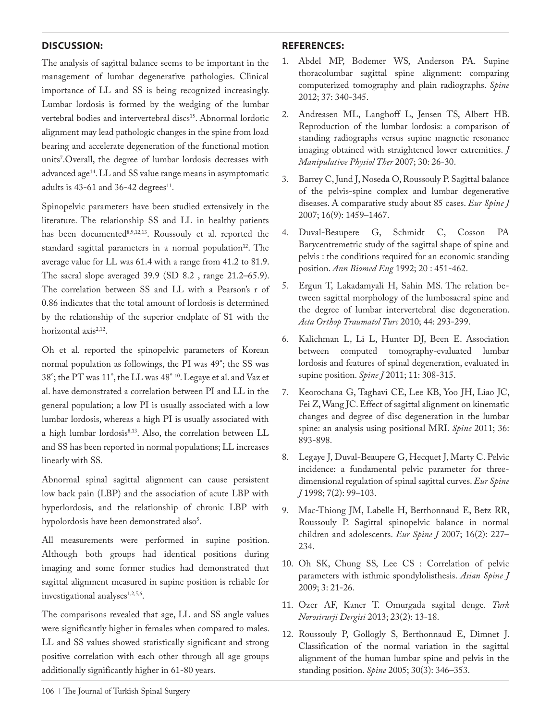## **DISCUSSION:**

The analysis of sagittal balance seems to be important in the management of lumbar degenerative pathologies. Clinical importance of LL and SS is being recognized increasingly. Lumbar lordosis is formed by the wedging of the lumbar vertebral bodies and intervertebral discs<sup>15</sup>. Abnormal lordotic alignment may lead pathologic changes in the spine from load bearing and accelerate degeneration of the functional motion units7 .Overall, the degree of lumbar lordosis decreases with advanced age<sup>14</sup>. LL and SS value range means in asymptomatic adults is  $43-61$  and  $36-42$  degrees<sup>11</sup>.

Spinopelvic parameters have been studied extensively in the literature. The relationship SS and LL in healthy patients has been documented8,9,12,13. Roussouly et al. reported the standard sagittal parameters in a normal population<sup>12</sup>. The average value for LL was 61.4 with a range from 41.2 to 81.9. The sacral slope averaged 39.9 (SD 8.2 , range 21.2–65.9). The correlation between SS and LL with a Pearson's r of 0.86 indicates that the total amount of lordosis is determined by the relationship of the superior endplate of S1 with the horizontal axis<sup>2,12</sup>.

Oh et al. reported the spinopelvic parameters of Korean normal population as followings, the PI was 49°; the SS was 38°; the PT was 11°, the LL was 48° 10. Legaye et al. and Vaz et al. have demonstrated a correlation between PI and LL in the general population; a low PI is usually associated with a low lumbar lordosis, whereas a high PI is usually associated with a high lumbar lordosis<sup>8,13</sup>. Also, the correlation between LL and SS has been reported in normal populations; LL increases linearly with SS.

Abnormal spinal sagittal alignment can cause persistent low back pain (LBP) and the association of acute LBP with hyperlordosis, and the relationship of chronic LBP with hypolordosis have been demonstrated also<sup>5</sup>.

All measurements were performed in supine position. Although both groups had identical positions during imaging and some former studies had demonstrated that sagittal alignment measured in supine position is reliable for investigational analyses<sup>1,2,5,6</sup>.

The comparisons revealed that age, LL and SS angle values were significantly higher in females when compared to males. LL and SS values showed statistically significant and strong positive correlation with each other through all age groups additionally significantly higher in 61-80 years.

#### **REFERENCES:**

- 1. Abdel MP, Bodemer WS, Anderson PA. Supine thoracolumbar sagittal spine alignment: comparing computerized tomography and plain radiographs. *Spine*  2012; 37: 340-345.
- 2. Andreasen ML, Langhoff L, Jensen TS, Albert HB. Reproduction of the lumbar lordosis: a comparison of standing radiographs versus supine magnetic resonance imaging obtained with straightened lower extremities. *J Manipulative Physiol Ther* 2007; 30: 26-30.
- 3. Barrey C, Jund J, Noseda O, Roussouly P. Sagittal balance of the pelvis-spine complex and lumbar degenerative diseases. A comparative study about 85 cases. *Eur Spine J* 2007; 16(9): 1459–1467.
- 4. Duval-Beaupere G, Schmidt C, Cosson PA Barycentremetric study of the sagittal shape of spine and pelvis : the conditions required for an economic standing position. *Ann Biomed Eng* 1992; 20 : 451-462.
- 5. Ergun T, Lakadamyali H, Sahin MS. The relation between sagittal morphology of the lumbosacral spine and the degree of lumbar intervertebral disc degeneration. *Acta Orthop Traumatol Turc* 2010; 44: 293-299.
- 6. Kalichman L, Li L, Hunter DJ, Been E. Association between computed tomography-evaluated lumbar lordosis and features of spinal degeneration, evaluated in supine position. *Spine J* 2011; 11: 308-315.
- 7. Keorochana G, Taghavi CE, Lee KB, Yoo JH, Liao JC, Fei Z, Wang JC. Effect of sagittal alignment on kinematic changes and degree of disc degeneration in the lumbar spine: an analysis using positional MRI. *Spine* 2011; 36: 893-898.
- 8. Legaye J, Duval-Beaupere G, Hecquet J, Marty C. Pelvic incidence: a fundamental pelvic parameter for threedimensional regulation of spinal sagittal curves. *Eur Spine J* 1998; 7(2): 99–103.
- 9. Mac-Thiong JM, Labelle H, Berthonnaud E, Betz RR, Roussouly P. Sagittal spinopelvic balance in normal children and adolescents. *Eur Spine J* 2007; 16(2): 227– 234.
- 10. Oh SK, Chung SS, Lee CS : Correlation of pelvic parameters with isthmic spondylolisthesis. *Asian Spine J* 2009; 3: 21-26.
- 11. Ozer AF, Kaner T. Omurgada sagital denge. *Turk Norosirurji Dergisi* 2013; 23(2): 13-18.
- 12. Roussouly P, Gollogly S, Berthonnaud E, Dimnet J. Classification of the normal variation in the sagittal alignment of the human lumbar spine and pelvis in the standing position. *Spine* 2005; 30(3): 346–353.